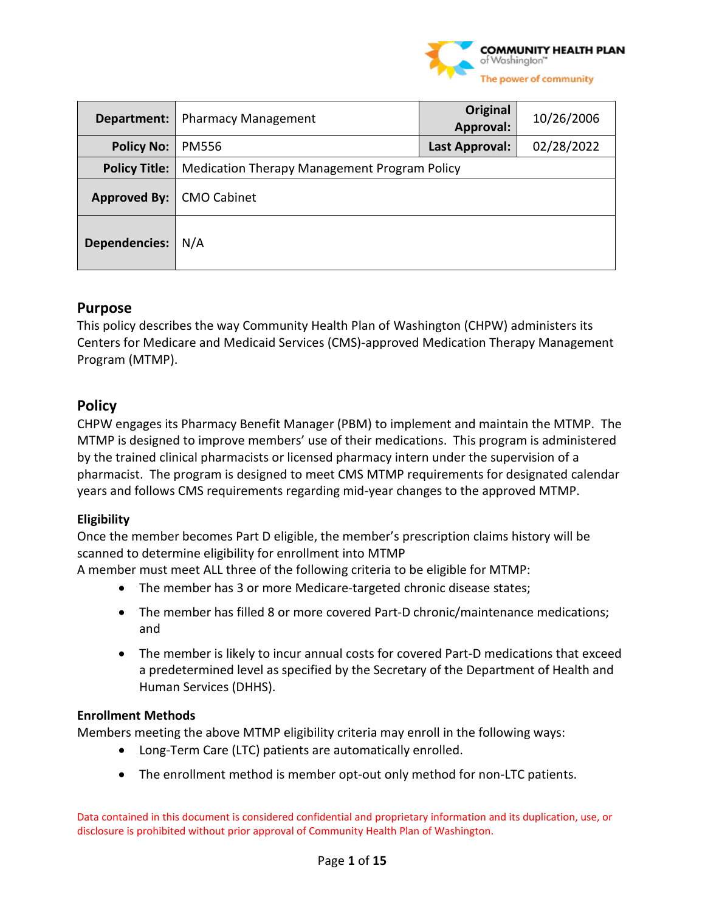

| Department:                | <b>Pharmacy Management</b>                          | Original<br>Approval: | 10/26/2006 |
|----------------------------|-----------------------------------------------------|-----------------------|------------|
| <b>Policy No:</b>          | <b>PM556</b>                                        | Last Approval:        | 02/28/2022 |
| <b>Policy Title:</b>       | <b>Medication Therapy Management Program Policy</b> |                       |            |
| Approved By:   CMO Cabinet |                                                     |                       |            |
| <b>Dependencies:</b>       | N/A                                                 |                       |            |

# **Purpose**

This policy describes the way Community Health Plan of Washington (CHPW) administers its Centers for Medicare and Medicaid Services (CMS)-approved Medication Therapy Management Program (MTMP).

# **Policy**

CHPW engages its Pharmacy Benefit Manager (PBM) to implement and maintain the MTMP. The MTMP is designed to improve members' use of their medications. This program is administered by the trained clinical pharmacists or licensed pharmacy intern under the supervision of a pharmacist. The program is designed to meet CMS MTMP requirements for designated calendar years and follows CMS requirements regarding mid-year changes to the approved MTMP.

## **Eligibility**

Once the member becomes Part D eligible, the member's prescription claims history will be scanned to determine eligibility for enrollment into MTMP

A member must meet ALL three of the following criteria to be eligible for MTMP:

- The member has 3 or more Medicare-targeted chronic disease states;
- The member has filled 8 or more covered Part-D chronic/maintenance medications; and
- The member is likely to incur annual costs for covered Part-D medications that exceed a predetermined level as specified by the Secretary of the Department of Health and Human Services (DHHS).

### **Enrollment Methods**

Members meeting the above MTMP eligibility criteria may enroll in the following ways:

- Long-Term Care (LTC) patients are automatically enrolled.
- The enrollment method is member opt-out only method for non-LTC patients.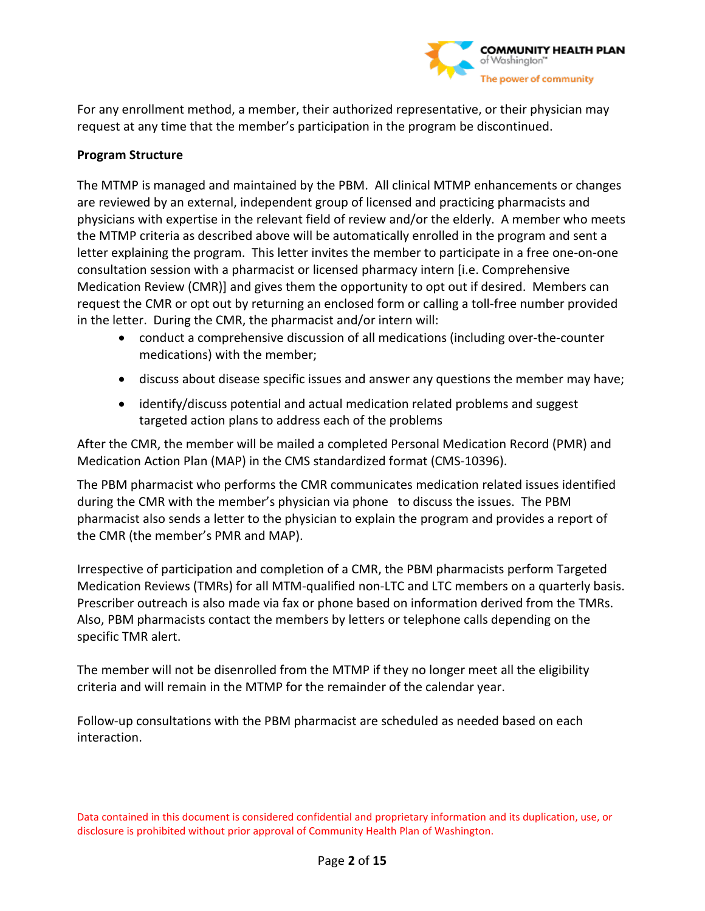

For any enrollment method, a member, their authorized representative, or their physician may request at any time that the member's participation in the program be discontinued.

### **Program Structure**

The MTMP is managed and maintained by the PBM. All clinical MTMP enhancements or changes are reviewed by an external, independent group of licensed and practicing pharmacists and physicians with expertise in the relevant field of review and/or the elderly. A member who meets the MTMP criteria as described above will be automatically enrolled in the program and sent a letter explaining the program. This letter invites the member to participate in a free one-on-one consultation session with a pharmacist or licensed pharmacy intern [i.e. Comprehensive Medication Review (CMR)] and gives them the opportunity to opt out if desired. Members can request the CMR or opt out by returning an enclosed form or calling a toll-free number provided in the letter. During the CMR, the pharmacist and/or intern will:

- conduct a comprehensive discussion of all medications (including over-the-counter medications) with the member;
- discuss about disease specific issues and answer any questions the member may have;
- identify/discuss potential and actual medication related problems and suggest targeted action plans to address each of the problems

After the CMR, the member will be mailed a completed Personal Medication Record (PMR) and Medication Action Plan (MAP) in the CMS standardized format (CMS-10396).

The PBM pharmacist who performs the CMR communicates medication related issues identified during the CMR with the member's physician via phone to discuss the issues. The PBM pharmacist also sends a letter to the physician to explain the program and provides a report of the CMR (the member's PMR and MAP).

Irrespective of participation and completion of a CMR, the PBM pharmacists perform Targeted Medication Reviews (TMRs) for all MTM-qualified non-LTC and LTC members on a quarterly basis. Prescriber outreach is also made via fax or phone based on information derived from the TMRs. Also, PBM pharmacists contact the members by letters or telephone calls depending on the specific TMR alert.

The member will not be disenrolled from the MTMP if they no longer meet all the eligibility criteria and will remain in the MTMP for the remainder of the calendar year.

Follow-up consultations with the PBM pharmacist are scheduled as needed based on each interaction.

Data contained in this document is considered confidential and proprietary information and its duplication, use, or disclosure is prohibited without prior approval of Community Health Plan of Washington.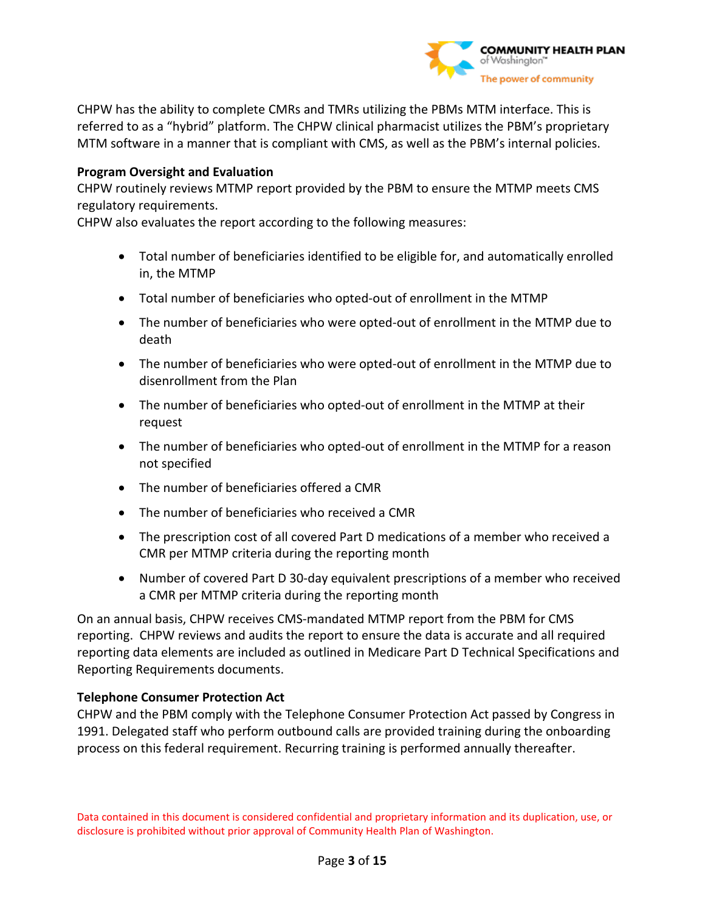

CHPW has the ability to complete CMRs and TMRs utilizing the PBMs MTM interface. This is referred to as a "hybrid" platform. The CHPW clinical pharmacist utilizes the PBM's proprietary MTM software in a manner that is compliant with CMS, as well as the PBM's internal policies.

### **Program Oversight and Evaluation**

CHPW routinely reviews MTMP report provided by the PBM to ensure the MTMP meets CMS regulatory requirements.

CHPW also evaluates the report according to the following measures:

- Total number of beneficiaries identified to be eligible for, and automatically enrolled in, the MTMP
- Total number of beneficiaries who opted-out of enrollment in the MTMP
- The number of beneficiaries who were opted-out of enrollment in the MTMP due to death
- The number of beneficiaries who were opted-out of enrollment in the MTMP due to disenrollment from the Plan
- The number of beneficiaries who opted-out of enrollment in the MTMP at their request
- The number of beneficiaries who opted-out of enrollment in the MTMP for a reason not specified
- The number of beneficiaries offered a CMR
- The number of beneficiaries who received a CMR
- The prescription cost of all covered Part D medications of a member who received a CMR per MTMP criteria during the reporting month
- Number of covered Part D 30-day equivalent prescriptions of a member who received a CMR per MTMP criteria during the reporting month

On an annual basis, CHPW receives CMS-mandated MTMP report from the PBM for CMS reporting. CHPW reviews and audits the report to ensure the data is accurate and all required reporting data elements are included as outlined in Medicare Part D Technical Specifications and Reporting Requirements documents.

### **Telephone Consumer Protection Act**

CHPW and the PBM comply with the Telephone Consumer Protection Act passed by Congress in 1991. Delegated staff who perform outbound calls are provided training during the onboarding process on this federal requirement. Recurring training is performed annually thereafter.

Data contained in this document is considered confidential and proprietary information and its duplication, use, or disclosure is prohibited without prior approval of Community Health Plan of Washington.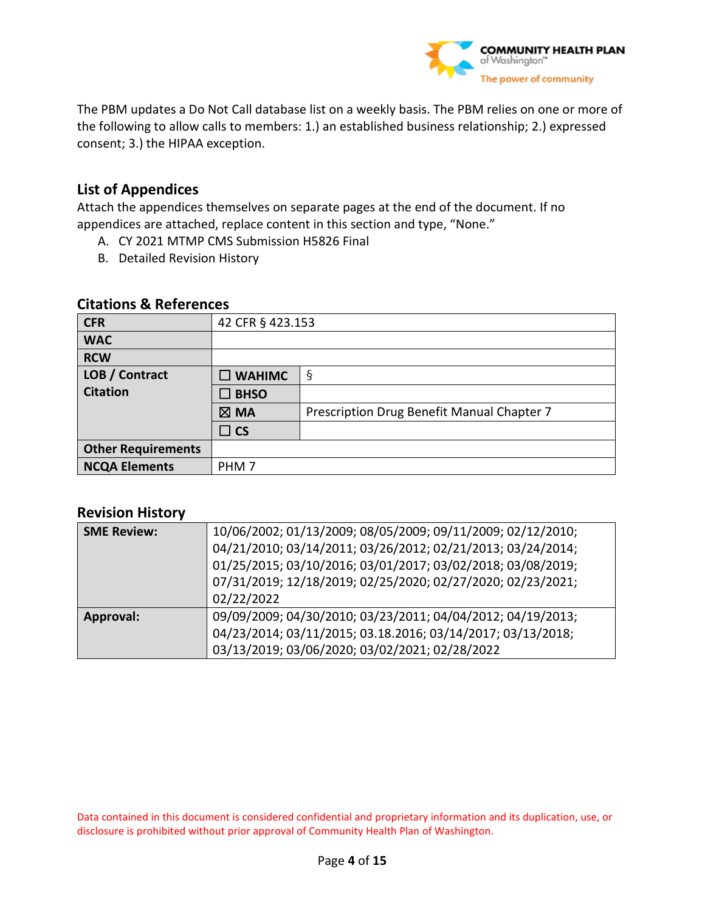

The PBM updates a Do Not Call database list on a weekly basis. The PBM relies on one or more of the following to allow calls to members: 1.) an established business relationship; 2.) expressed consent; 3.) the HIPAA exception.

# **List of Appendices**

Attach the appendices themselves on separate pages at the end of the document. If no appendices are attached, replace content in this section and type, "None."

- A. CY 2021 MTMP CMS Submission H5826 Final
- B. Detailed Revision History

### **Citations & References**

| <b>CFR</b>                | 42 CFR § 423.153 |                                            |
|---------------------------|------------------|--------------------------------------------|
| <b>WAC</b>                |                  |                                            |
| <b>RCW</b>                |                  |                                            |
| LOB / Contract            | $\square$ WAHIMC | $\S$                                       |
| <b>Citation</b>           | $\square$ BHSO   |                                            |
|                           | $\boxtimes$ MA   | Prescription Drug Benefit Manual Chapter 7 |
|                           | $\Box$ CS        |                                            |
| <b>Other Requirements</b> |                  |                                            |
| <b>NCQA Elements</b>      | PHM <sub>7</sub> |                                            |

## **Revision History**

| <b>SME Review:</b> | 10/06/2002; 01/13/2009; 08/05/2009; 09/11/2009; 02/12/2010;<br>04/21/2010; 03/14/2011; 03/26/2012; 02/21/2013; 03/24/2014;<br>01/25/2015; 03/10/2016; 03/01/2017; 03/02/2018; 03/08/2019;<br>07/31/2019; 12/18/2019; 02/25/2020; 02/27/2020; 02/23/2021;<br>02/22/2022 |
|--------------------|------------------------------------------------------------------------------------------------------------------------------------------------------------------------------------------------------------------------------------------------------------------------|
| Approval:          | 09/09/2009; 04/30/2010; 03/23/2011; 04/04/2012; 04/19/2013;<br>04/23/2014; 03/11/2015; 03.18.2016; 03/14/2017; 03/13/2018;<br>03/13/2019; 03/06/2020; 03/02/2021; 02/28/2022                                                                                           |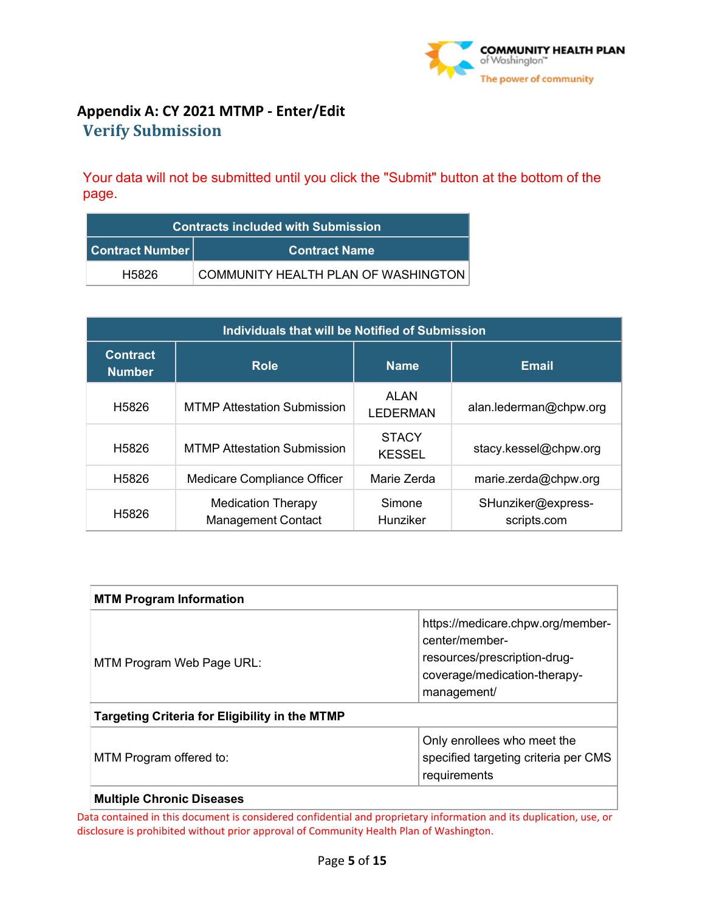

# **Appendix A: CY 2021 MTMP - Enter/Edit Verify Submission**

Your data will not be submitted until you click the "Submit" button at the bottom of the page.

| <b>Contracts included with Submission</b>      |                                     |  |
|------------------------------------------------|-------------------------------------|--|
| <b>Contract Number</b><br><b>Contract Name</b> |                                     |  |
| H5826                                          | COMMUNITY HEALTH PLAN OF WASHINGTON |  |

| Individuals that will be Notified of Submission |                                                 |                               |                                   |
|-------------------------------------------------|-------------------------------------------------|-------------------------------|-----------------------------------|
| <b>Contract</b><br><b>Number</b>                | <b>Role</b>                                     | <b>Name</b>                   | <b>Email</b>                      |
| H <sub>5826</sub>                               | <b>MTMP Attestation Submission</b>              | ALAN<br><b>LEDERMAN</b>       | alan.lederman@chpw.org            |
| H <sub>5826</sub>                               | <b>MTMP Attestation Submission</b>              | <b>STACY</b><br><b>KESSEL</b> | stacy.kessel@chpw.org             |
| H <sub>5826</sub>                               | Medicare Compliance Officer                     | Marie Zerda                   | marie.zerda@chpw.org              |
| H <sub>5826</sub>                               | Medication Therapy<br><b>Management Contact</b> | Simone<br>Hunziker            | SHunziker@express-<br>scripts.com |

| <b>MTM Program Information</b>                                                                                 |                                                                                                                                    |  |
|----------------------------------------------------------------------------------------------------------------|------------------------------------------------------------------------------------------------------------------------------------|--|
| MTM Program Web Page URL:                                                                                      | https://medicare.chpw.org/member-<br>center/member-<br>resources/prescription-drug-<br>coverage/medication-therapy-<br>management/ |  |
| <b>Targeting Criteria for Eligibility in the MTMP</b>                                                          |                                                                                                                                    |  |
| Only enrollees who meet the<br>specified targeting criteria per CMS<br>MTM Program offered to:<br>requirements |                                                                                                                                    |  |
| <b>Multiple Chronic Diseases</b>                                                                               |                                                                                                                                    |  |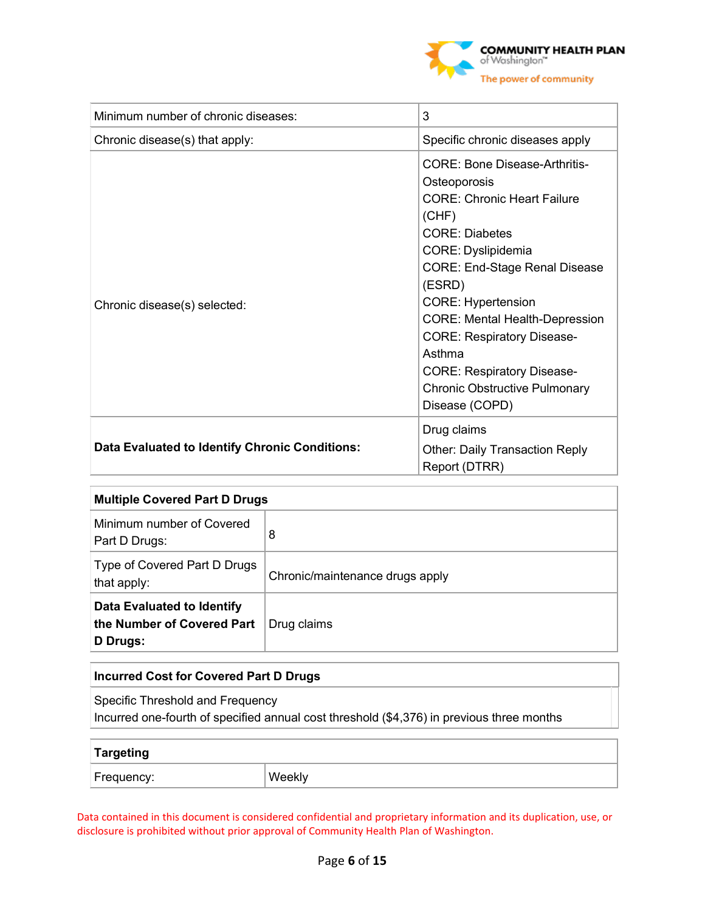

| Minimum number of chronic diseases:            | 3                                                                                                                                                                                                                                                                                                                                                                                                                 |
|------------------------------------------------|-------------------------------------------------------------------------------------------------------------------------------------------------------------------------------------------------------------------------------------------------------------------------------------------------------------------------------------------------------------------------------------------------------------------|
| Chronic disease(s) that apply:                 | Specific chronic diseases apply                                                                                                                                                                                                                                                                                                                                                                                   |
| Chronic disease(s) selected:                   | CORF: Bone Disease-Arthritis-<br>Osteoporosis<br><b>CORE: Chronic Heart Failure</b><br>(CHF)<br><b>CORE: Diabetes</b><br>CORE: Dyslipidemia<br><b>CORE: End-Stage Renal Disease</b><br>(ESRD)<br><b>CORE: Hypertension</b><br><b>CORE: Mental Health-Depression</b><br><b>CORE: Respiratory Disease-</b><br>Asthma<br><b>CORE: Respiratory Disease-</b><br><b>Chronic Obstructive Pulmonary</b><br>Disease (COPD) |
| Data Evaluated to Identify Chronic Conditions: | Drug claims<br><b>Other: Daily Transaction Reply</b><br>Report (DTRR)                                                                                                                                                                                                                                                                                                                                             |

| <b>Multiple Covered Part D Drugs</b>                                 |                                 |  |
|----------------------------------------------------------------------|---------------------------------|--|
| Minimum number of Covered<br>Part D Drugs:                           | 8                               |  |
| Type of Covered Part D Drugs<br>that apply:                          | Chronic/maintenance drugs apply |  |
| Data Evaluated to Identify<br>the Number of Covered Part<br>D Drugs: | Drug claims                     |  |

# **Incurred Cost for Covered Part D Drugs**

Specific Threshold and Frequency

Incurred one-fourth of specified annual cost threshold (\$4,376) in previous three months

| Targeting  |        |
|------------|--------|
| Frequency: | Weekly |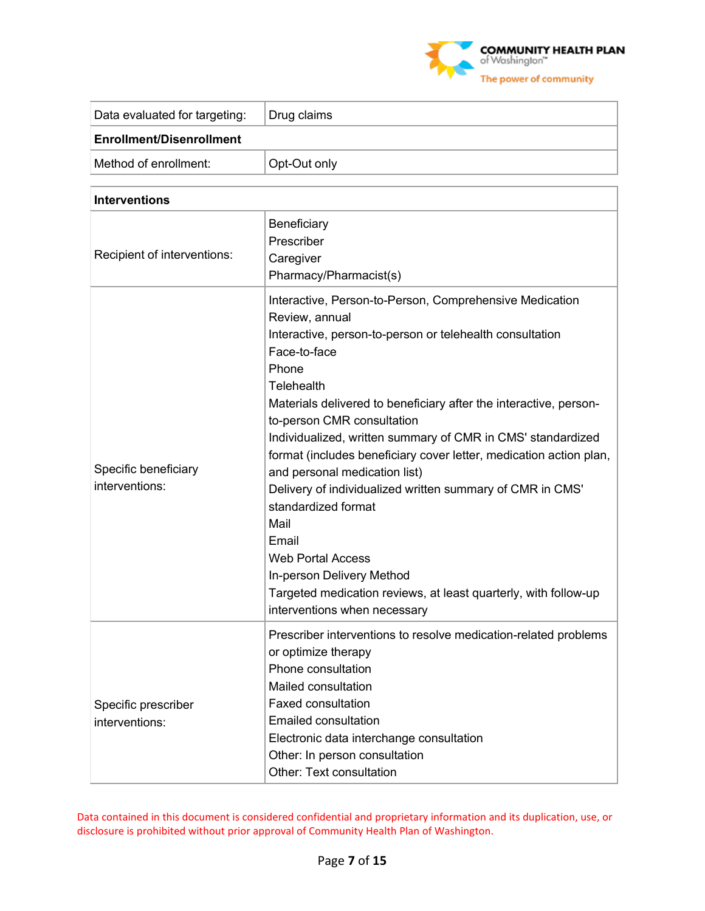

| Data evaluated for targeting:   | Drug claims  |  |
|---------------------------------|--------------|--|
| <b>Enrollment/Disenrollment</b> |              |  |
| Method of enrollment:           | Opt-Out only |  |

| <b>Interventions</b>                   |                                                                                                                                                                                                                                                                                                                                                                                                                                                                                                                                                                                                                                                                                                                        |
|----------------------------------------|------------------------------------------------------------------------------------------------------------------------------------------------------------------------------------------------------------------------------------------------------------------------------------------------------------------------------------------------------------------------------------------------------------------------------------------------------------------------------------------------------------------------------------------------------------------------------------------------------------------------------------------------------------------------------------------------------------------------|
| Recipient of interventions:            | Beneficiary<br>Prescriber<br>Caregiver<br>Pharmacy/Pharmacist(s)                                                                                                                                                                                                                                                                                                                                                                                                                                                                                                                                                                                                                                                       |
| Specific beneficiary<br>interventions: | Interactive, Person-to-Person, Comprehensive Medication<br>Review, annual<br>Interactive, person-to-person or telehealth consultation<br>Face-to-face<br>Phone<br>Telehealth<br>Materials delivered to beneficiary after the interactive, person-<br>to-person CMR consultation<br>Individualized, written summary of CMR in CMS' standardized<br>format (includes beneficiary cover letter, medication action plan,<br>and personal medication list)<br>Delivery of individualized written summary of CMR in CMS'<br>standardized format<br>Mail<br>Email<br><b>Web Portal Access</b><br>In-person Delivery Method<br>Targeted medication reviews, at least quarterly, with follow-up<br>interventions when necessary |
| Specific prescriber<br>interventions:  | Prescriber interventions to resolve medication-related problems<br>or optimize therapy<br>Phone consultation<br>Mailed consultation<br><b>Faxed consultation</b><br><b>Emailed consultation</b><br>Electronic data interchange consultation<br>Other: In person consultation<br><b>Other: Text consultation</b>                                                                                                                                                                                                                                                                                                                                                                                                        |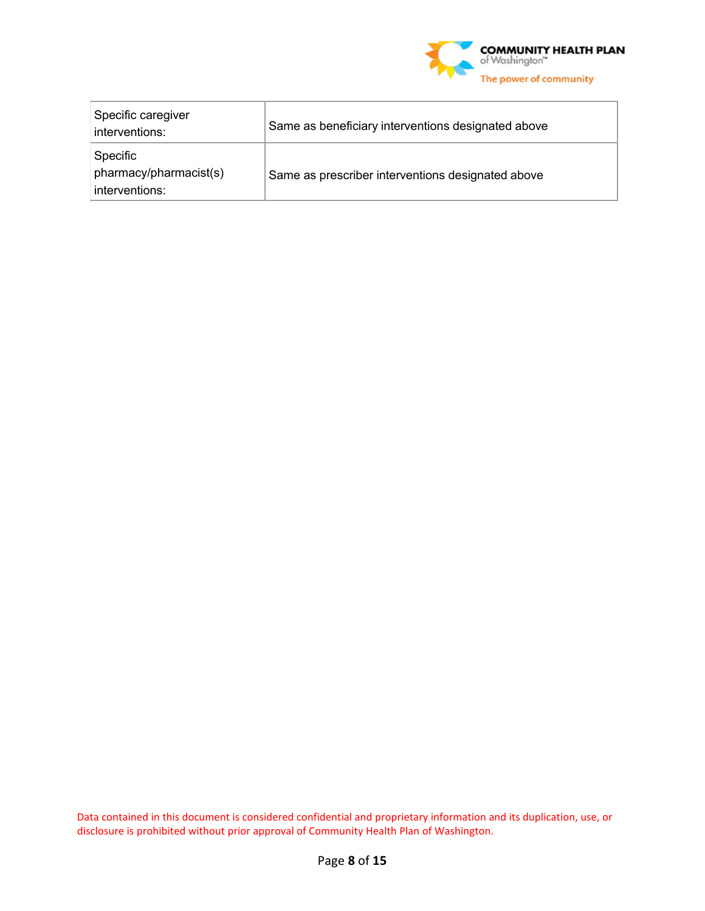

| Specific caregiver<br>interventions:                 | Same as beneficiary interventions designated above |
|------------------------------------------------------|----------------------------------------------------|
| Specific<br>pharmacy/pharmacist(s)<br>interventions: | Same as prescriber interventions designated above  |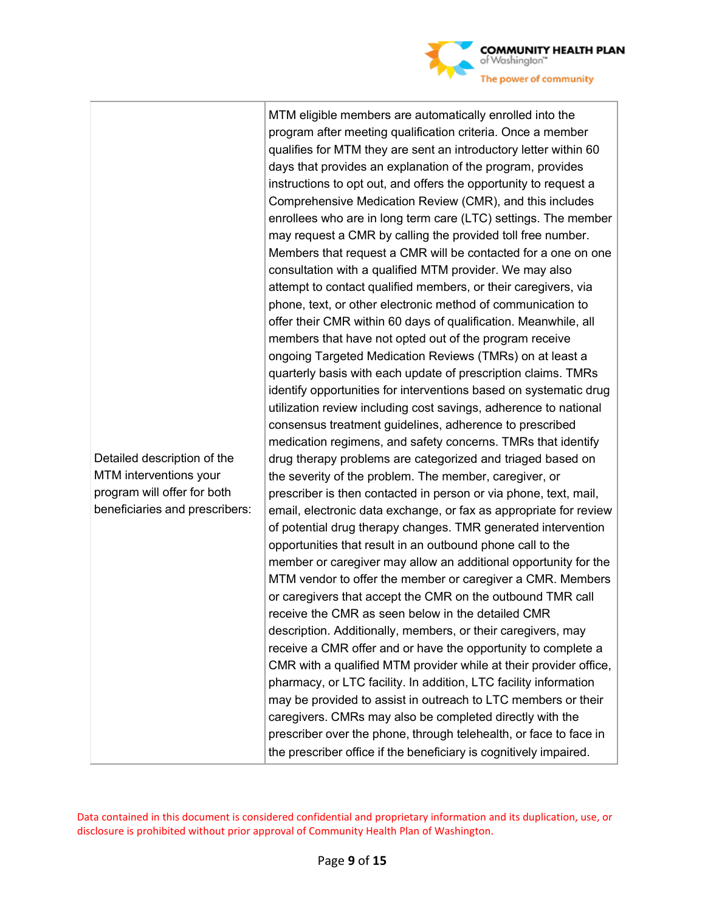

beneficiaries and prescribers: MTM eligible members are automatically enrolled into the program after meeting qualification criteria. Once a member qualifies for MTM they are sent an introductory letter within 60 days that provides an explanation of the program, provides instructions to opt out, and offers the opportunity to request a Comprehensive Medication Review (CMR), and this includes enrollees who are in long term care (LTC) settings. The member may request a CMR by calling the provided toll free number. Members that request a CMR will be contacted for a one on one consultation with a qualified MTM provider. We may also attempt to contact qualified members, or their caregivers, via phone, text, or other electronic method of communication to offer their CMR within 60 days of qualification. Meanwhile, all members that have not opted out of the program receive ongoing Targeted Medication Reviews (TMRs) on at least a quarterly basis with each update of prescription claims. TMRs identify opportunities for interventions based on systematic drug utilization review including cost savings, adherence to national consensus treatment guidelines, adherence to prescribed medication regimens, and safety concerns. TMRs that identify drug therapy problems are categorized and triaged based on the severity of the problem. The member, caregiver, or prescriber is then contacted in person or via phone, text, mail, email, electronic data exchange, or fax as appropriate for review of potential drug therapy changes. TMR generated intervention opportunities that result in an outbound phone call to the member or caregiver may allow an additional opportunity for the MTM vendor to offer the member or caregiver a CMR. Members or caregivers that accept the CMR on the outbound TMR call receive the CMR as seen below in the detailed CMR description. Additionally, members, or their caregivers, may receive a CMR offer and or have the opportunity to complete a CMR with a qualified MTM provider while at their provider office, pharmacy, or LTC facility. In addition, LTC facility information may be provided to assist in outreach to LTC members or their caregivers. CMRs may also be completed directly with the prescriber over the phone, through telehealth, or face to face in the prescriber office if the beneficiary is cognitively impaired.

Data contained in this document is considered confidential and proprietary information and its duplication, use, or disclosure is prohibited without prior approval of Community Health Plan of Washington.

Detailed description of the MTM interventions your program will offer for both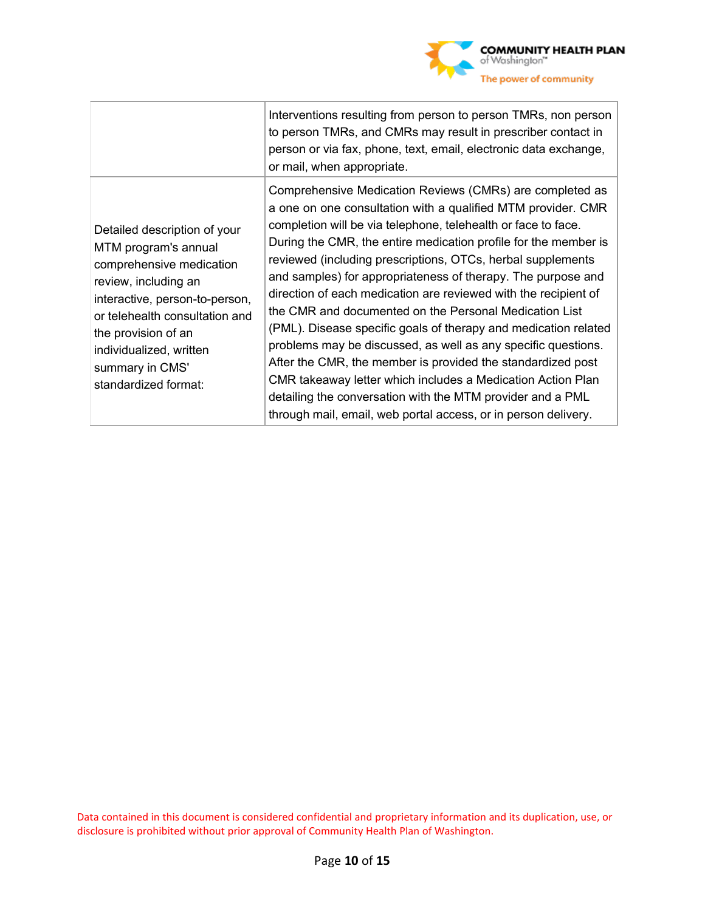

|                                                                                                                                                                                                                                                                           | Interventions resulting from person to person TMRs, non person<br>to person TMRs, and CMRs may result in prescriber contact in<br>person or via fax, phone, text, email, electronic data exchange,<br>or mail, when appropriate.                                                                                                                                                                                                                                                                                                                                                                                                                                                                                                                                                                                                                                                                                           |
|---------------------------------------------------------------------------------------------------------------------------------------------------------------------------------------------------------------------------------------------------------------------------|----------------------------------------------------------------------------------------------------------------------------------------------------------------------------------------------------------------------------------------------------------------------------------------------------------------------------------------------------------------------------------------------------------------------------------------------------------------------------------------------------------------------------------------------------------------------------------------------------------------------------------------------------------------------------------------------------------------------------------------------------------------------------------------------------------------------------------------------------------------------------------------------------------------------------|
| Detailed description of your<br>MTM program's annual<br>comprehensive medication<br>review, including an<br>interactive, person-to-person,<br>or telehealth consultation and<br>the provision of an<br>individualized, written<br>summary in CMS'<br>standardized format: | Comprehensive Medication Reviews (CMRs) are completed as<br>a one on one consultation with a qualified MTM provider. CMR<br>completion will be via telephone, telehealth or face to face.<br>During the CMR, the entire medication profile for the member is<br>reviewed (including prescriptions, OTCs, herbal supplements<br>and samples) for appropriateness of therapy. The purpose and<br>direction of each medication are reviewed with the recipient of<br>the CMR and documented on the Personal Medication List<br>(PML). Disease specific goals of therapy and medication related<br>problems may be discussed, as well as any specific questions.<br>After the CMR, the member is provided the standardized post<br>CMR takeaway letter which includes a Medication Action Plan<br>detailing the conversation with the MTM provider and a PML<br>through mail, email, web portal access, or in person delivery. |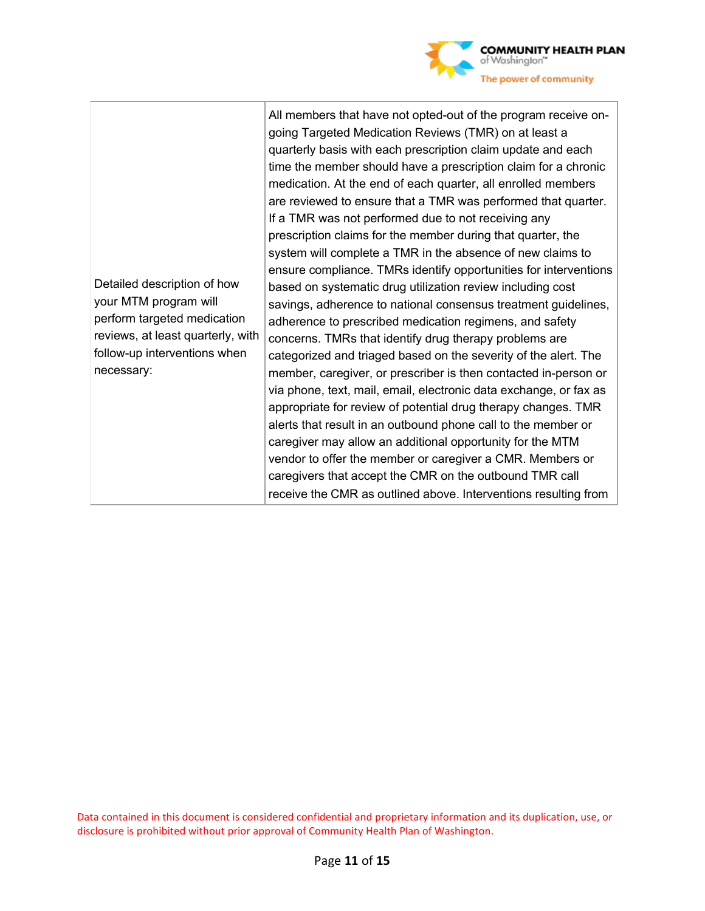

| Detailed description of how<br>your MTM program will<br>perform targeted medication<br>reviews, at least quarterly, with<br>follow-up interventions when<br>necessary: | All members that have not opted-out of the program receive on-<br>going Targeted Medication Reviews (TMR) on at least a<br>quarterly basis with each prescription claim update and each<br>time the member should have a prescription claim for a chronic<br>medication. At the end of each quarter, all enrolled members<br>are reviewed to ensure that a TMR was performed that quarter.<br>If a TMR was not performed due to not receiving any<br>prescription claims for the member during that quarter, the<br>system will complete a TMR in the absence of new claims to<br>ensure compliance. TMRs identify opportunities for interventions<br>based on systematic drug utilization review including cost<br>savings, adherence to national consensus treatment guidelines,<br>adherence to prescribed medication regimens, and safety<br>concerns. TMRs that identify drug therapy problems are<br>categorized and triaged based on the severity of the alert. The<br>member, caregiver, or prescriber is then contacted in-person or<br>via phone, text, mail, email, electronic data exchange, or fax as<br>appropriate for review of potential drug therapy changes. TMR<br>alerts that result in an outbound phone call to the member or<br>caregiver may allow an additional opportunity for the MTM |
|------------------------------------------------------------------------------------------------------------------------------------------------------------------------|-------------------------------------------------------------------------------------------------------------------------------------------------------------------------------------------------------------------------------------------------------------------------------------------------------------------------------------------------------------------------------------------------------------------------------------------------------------------------------------------------------------------------------------------------------------------------------------------------------------------------------------------------------------------------------------------------------------------------------------------------------------------------------------------------------------------------------------------------------------------------------------------------------------------------------------------------------------------------------------------------------------------------------------------------------------------------------------------------------------------------------------------------------------------------------------------------------------------------------------------------------------------------------------------------------------------|
|                                                                                                                                                                        | vendor to offer the member or caregiver a CMR. Members or<br>caregivers that accept the CMR on the outbound TMR call<br>receive the CMR as outlined above. Interventions resulting from                                                                                                                                                                                                                                                                                                                                                                                                                                                                                                                                                                                                                                                                                                                                                                                                                                                                                                                                                                                                                                                                                                                           |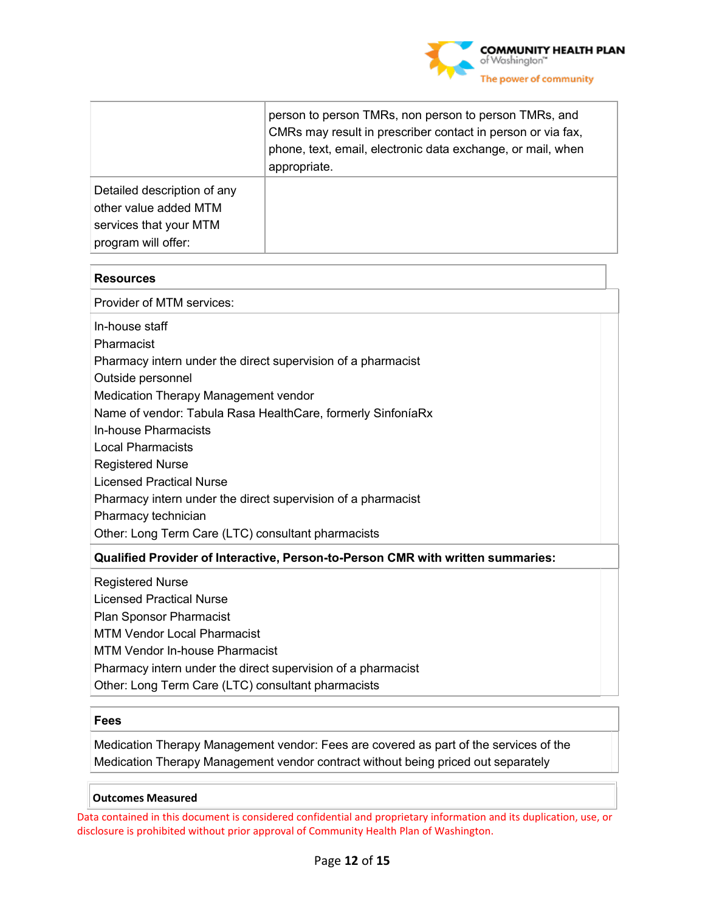

|                                                                                                       | person to person TMRs, non person to person TMRs, and<br>CMRs may result in prescriber contact in person or via fax,<br>phone, text, email, electronic data exchange, or mail, when<br>appropriate. |
|-------------------------------------------------------------------------------------------------------|-----------------------------------------------------------------------------------------------------------------------------------------------------------------------------------------------------|
| Detailed description of any<br>other value added MTM<br>services that your MTM<br>program will offer: |                                                                                                                                                                                                     |

#### **Resources**

Provider of MTM services:

In-house staff

Pharmacist

Pharmacy intern under the direct supervision of a pharmacist

Outside personnel

Medication Therapy Management vendor

Name of vendor: Tabula Rasa HealthCare, formerly SinfoníaRx

In-house Pharmacists

Local Pharmacists

Registered Nurse

Licensed Practical Nurse

Pharmacy intern under the direct supervision of a pharmacist

Pharmacy technician

Other: Long Term Care (LTC) consultant pharmacists

#### **Qualified Provider of Interactive, Person-to-Person CMR with written summaries:**

Registered Nurse Licensed Practical Nurse Plan Sponsor Pharmacist MTM Vendor Local Pharmacist MTM Vendor In-house Pharmacist Pharmacy intern under the direct supervision of a pharmacist Other: Long Term Care (LTC) consultant pharmacists

#### **Fees**

Medication Therapy Management vendor: Fees are covered as part of the services of the Medication Therapy Management vendor contract without being priced out separately

**Outcomes Measured**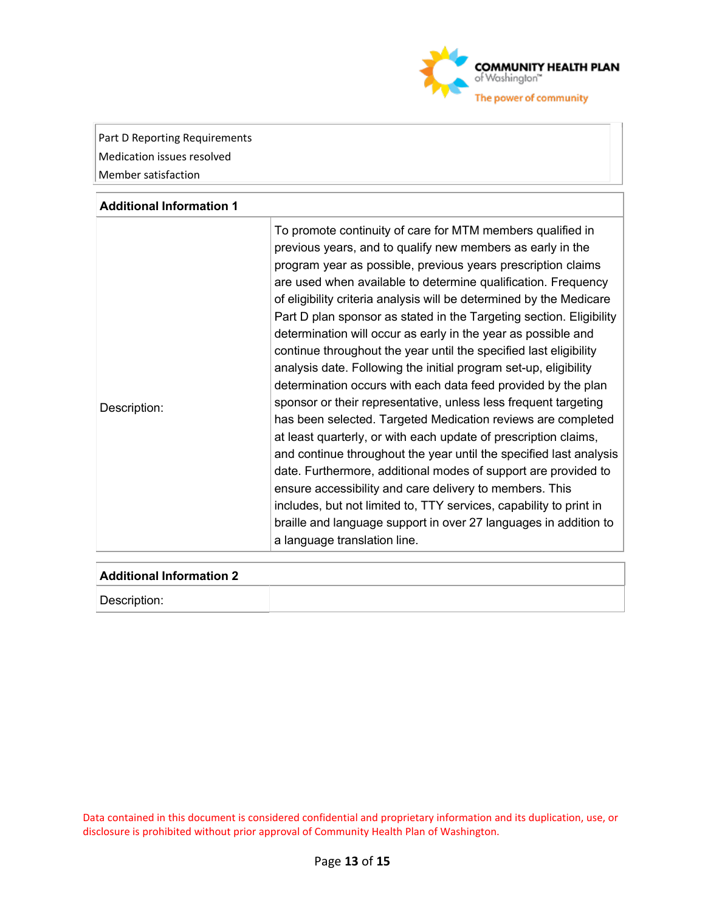

Part D Reporting Requirements Medication issues resolved Member satisfaction

#### **Additional Information 1**

| Description: | To promote continuity of care for MTM members qualified in<br>previous years, and to qualify new members as early in the<br>program year as possible, previous years prescription claims<br>are used when available to determine qualification. Frequency<br>of eligibility criteria analysis will be determined by the Medicare<br>Part D plan sponsor as stated in the Targeting section. Eligibility<br>determination will occur as early in the year as possible and<br>continue throughout the year until the specified last eligibility<br>analysis date. Following the initial program set-up, eligibility<br>determination occurs with each data feed provided by the plan<br>sponsor or their representative, unless less frequent targeting<br>has been selected. Targeted Medication reviews are completed<br>at least quarterly, or with each update of prescription claims,<br>and continue throughout the year until the specified last analysis<br>date. Furthermore, additional modes of support are provided to<br>ensure accessibility and care delivery to members. This<br>includes, but not limited to, TTY services, capability to print in<br>braille and language support in over 27 languages in addition to |
|--------------|---------------------------------------------------------------------------------------------------------------------------------------------------------------------------------------------------------------------------------------------------------------------------------------------------------------------------------------------------------------------------------------------------------------------------------------------------------------------------------------------------------------------------------------------------------------------------------------------------------------------------------------------------------------------------------------------------------------------------------------------------------------------------------------------------------------------------------------------------------------------------------------------------------------------------------------------------------------------------------------------------------------------------------------------------------------------------------------------------------------------------------------------------------------------------------------------------------------------------------------|
|              | a language translation line.                                                                                                                                                                                                                                                                                                                                                                                                                                                                                                                                                                                                                                                                                                                                                                                                                                                                                                                                                                                                                                                                                                                                                                                                          |

#### **Additional Information 2**

Description: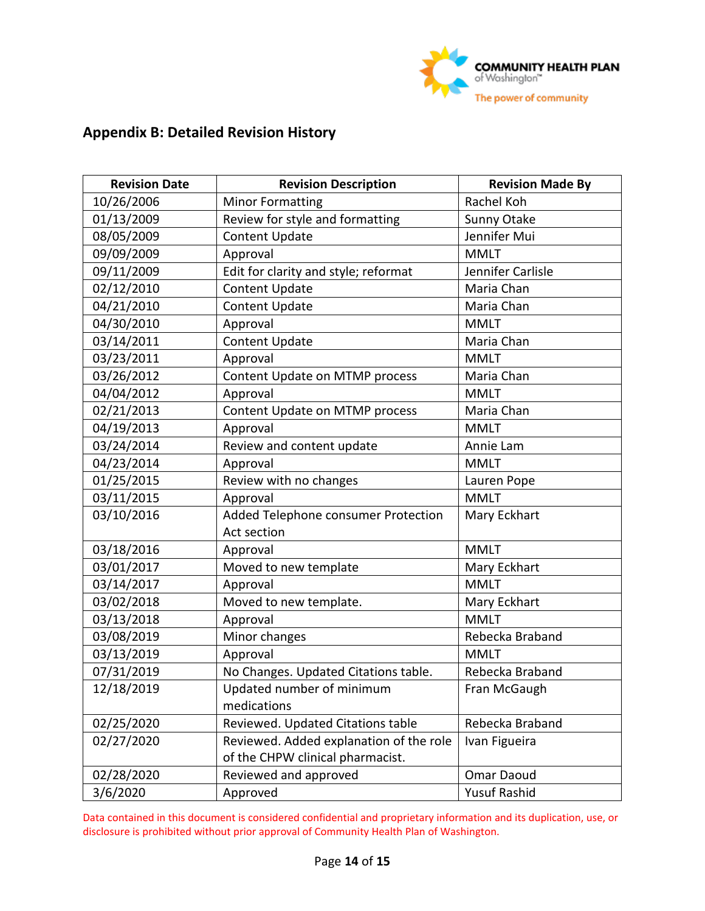

# **Appendix B: Detailed Revision History**

| <b>Revision Date</b> | <b>Revision Description</b>             | <b>Revision Made By</b> |
|----------------------|-----------------------------------------|-------------------------|
| 10/26/2006           | <b>Minor Formatting</b>                 | Rachel Koh              |
| 01/13/2009           | Review for style and formatting         | Sunny Otake             |
| 08/05/2009           | <b>Content Update</b>                   | Jennifer Mui            |
| 09/09/2009           | Approval                                | <b>MMLT</b>             |
| 09/11/2009           | Edit for clarity and style; reformat    | Jennifer Carlisle       |
| 02/12/2010           | <b>Content Update</b>                   | Maria Chan              |
| 04/21/2010           | <b>Content Update</b>                   | Maria Chan              |
| 04/30/2010           | Approval                                | <b>MMLT</b>             |
| 03/14/2011           | <b>Content Update</b>                   | Maria Chan              |
| 03/23/2011           | Approval                                | <b>MMLT</b>             |
| 03/26/2012           | Content Update on MTMP process          | Maria Chan              |
| 04/04/2012           | Approval                                | <b>MMLT</b>             |
| 02/21/2013           | Content Update on MTMP process          | Maria Chan              |
| 04/19/2013           | Approval                                | <b>MMLT</b>             |
| 03/24/2014           | Review and content update               | Annie Lam               |
| 04/23/2014           | Approval                                | <b>MMLT</b>             |
| 01/25/2015           | Review with no changes                  | Lauren Pope             |
| 03/11/2015           | Approval                                | <b>MMLT</b>             |
| 03/10/2016           | Added Telephone consumer Protection     | Mary Eckhart            |
|                      | Act section                             |                         |
| 03/18/2016           | Approval                                | <b>MMLT</b>             |
| 03/01/2017           | Moved to new template                   | Mary Eckhart            |
| 03/14/2017           | Approval                                | <b>MMLT</b>             |
| 03/02/2018           | Moved to new template.                  | Mary Eckhart            |
| 03/13/2018           | Approval                                | <b>MMLT</b>             |
| 03/08/2019           | Minor changes                           | Rebecka Braband         |
| 03/13/2019           | Approval                                | <b>MMLT</b>             |
| 07/31/2019           | No Changes. Updated Citations table.    | Rebecka Braband         |
| 12/18/2019           | Updated number of minimum               | Fran McGaugh            |
|                      | medications                             |                         |
| 02/25/2020           | Reviewed. Updated Citations table       | Rebecka Braband         |
| 02/27/2020           | Reviewed. Added explanation of the role | Ivan Figueira           |
|                      | of the CHPW clinical pharmacist.        |                         |
| 02/28/2020           | Reviewed and approved                   | Omar Daoud              |
| 3/6/2020             | Approved                                | Yusuf Rashid            |